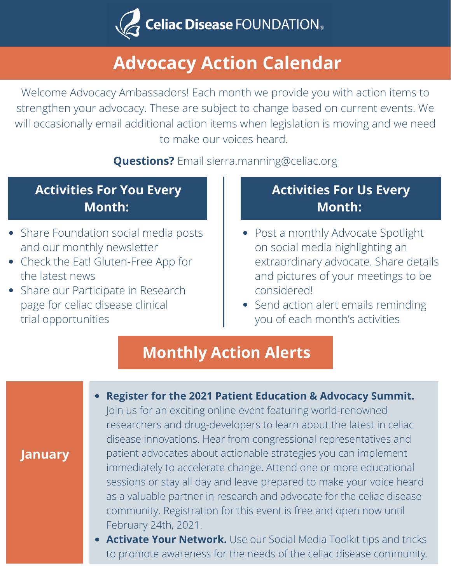

# **Advocacy Action Calendar**

Welcome Advocacy Ambassadors! Each month we provide you with action items to strengthen your advocacy. These are subject to change based on current events. We will occasionally email additional action items when legislation is moving and we need to make our voices heard.

#### **Questions?** Email [sierra.manning@celiac.org](http://celiac.org/)

## **Activities For You Every Month:**

- Share Foundation social media posts and our monthly newsletter
- Check the Eat! Gluten-Free App for the latest news
- Share our Participate in Research page for celiac disease clinical trial opportunities

**January**

## **Activities For Us Every Month:**

- Post a monthly Advocate Spotlight on social media highlighting an extraordinary advocate. Share details and pictures of your meetings to be considered!
- Send action alert emails reminding you of each month's activities

# **Monthly Action Alerts**

#### **Register for the 2021 Patient Education & Advocacy Summit.** Join us for an exciting online event featuring world-renowned researchers and drug-developers to learn about the latest in celiac disease innovations. Hear from congressional representatives and patient advocates about actionable strategies you can implement immediately to accelerate change. Attend one or more educational sessions or stay all day and leave prepared to make your voice heard as a valuable partner in research and advocate for the celiac disease community. Registration for this event is free and open now until February 24th, 2021.

**Activate Your Network.** Use our Social Media Toolkit tips and tricks to promote awareness for the needs of the celiac disease community.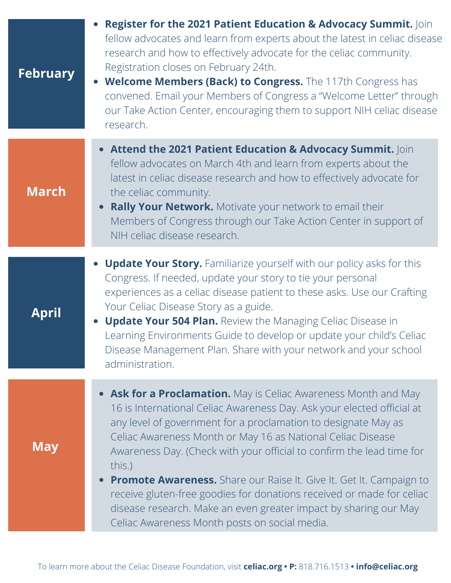| <b>February</b> | Register for the 2021 Patient Education & Advocacy Summit. Join<br>fellow advocates and learn from experts about the latest in celiac disease<br>research and how to effectively advocate for the celiac community.<br>Registration closes on February 24th.<br>• Welcome Members (Back) to Congress. The 117th Congress has<br>convened. Email your Members of Congress a "Welcome Letter" through<br>our Take Action Center, encouraging them to support NIH celiac disease<br>research.                                                                                                                                                |
|-----------------|-------------------------------------------------------------------------------------------------------------------------------------------------------------------------------------------------------------------------------------------------------------------------------------------------------------------------------------------------------------------------------------------------------------------------------------------------------------------------------------------------------------------------------------------------------------------------------------------------------------------------------------------|
| <b>March</b>    | • Attend the 2021 Patient Education & Advocacy Summit. Join<br>fellow advocates on March 4th and learn from experts about the<br>latest in celiac disease research and how to effectively advocate for<br>the celiac community.<br><b>Rally Your Network.</b> Motivate your network to email their<br>Members of Congress through our Take Action Center in support of<br>NIH celiac disease research.                                                                                                                                                                                                                                    |
| April           | • Update Your Story. Familiarize yourself with our policy asks for this<br>Congress. If needed, update your story to tie your personal<br>experiences as a celiac disease patient to these asks. Use our Crafting<br>Your Celiac Disease Story as a guide.<br><b>Update Your 504 Plan.</b> Review the Managing Celiac Disease in<br>Learning Environments Guide to develop or update your child's Celiac<br>Disease Management Plan. Share with your network and your school<br>administration.                                                                                                                                           |
| <b>May</b>      | • Ask for a Proclamation. May is Celiac Awareness Month and May<br>16 is International Celiac Awareness Day. Ask your elected official at<br>any level of government for a proclamation to designate May as<br>Celiac Awareness Month or May 16 as National Celiac Disease<br>Awareness Day. (Check with your official to confirm the lead time for<br>this.)<br><b>Promote Awareness.</b> Share our Raise It. Give It. Get It. Campaign to<br>receive gluten-free goodies for donations received or made for celiac<br>disease research. Make an even greater impact by sharing our May<br>Celiac Awareness Month posts on social media. |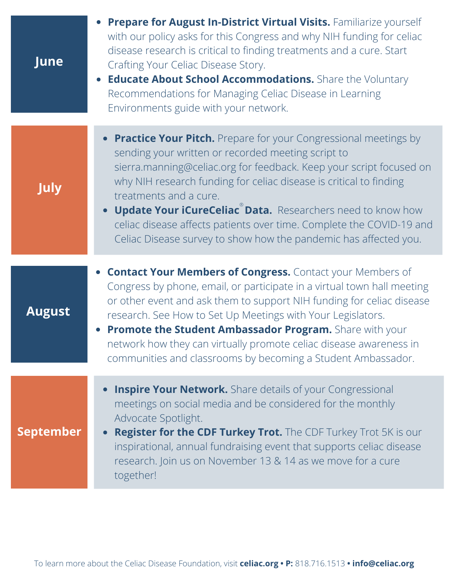| June             | Prepare for August In-District Virtual Visits. Familiarize yourself<br>with our policy asks for this Congress and why NIH funding for celiac<br>disease research is critical to finding treatments and a cure. Start<br>Crafting Your Celiac Disease Story.<br><b>Educate About School Accommodations.</b> Share the Voluntary<br>$\bullet$<br>Recommendations for Managing Celiac Disease in Learning<br>Environments guide with your network.                                                                 |
|------------------|-----------------------------------------------------------------------------------------------------------------------------------------------------------------------------------------------------------------------------------------------------------------------------------------------------------------------------------------------------------------------------------------------------------------------------------------------------------------------------------------------------------------|
| <b>July</b>      | • Practice Your Pitch. Prepare for your Congressional meetings by<br>sending your written or recorded meeting script to<br>sierra.manning@celiac.org for feedback. Keep your script focused on<br>why NIH research funding for celiac disease is critical to finding<br>treatments and a cure.<br><b>Update Your iCureCeliac Data.</b> Researchers need to know how<br>celiac disease affects patients over time. Complete the COVID-19 and<br>Celiac Disease survey to show how the pandemic has affected you. |
| <b>August</b>    | <b>• Contact Your Members of Congress.</b> Contact your Members of<br>Congress by phone, email, or participate in a virtual town hall meeting<br>or other event and ask them to support NIH funding for celiac disease<br>research. See How to Set Up Meetings with Your Legislators.<br>Promote the Student Ambassador Program. Share with your<br>network how they can virtually promote celiac disease awareness in<br>communities and classrooms by becoming a Student Ambassador.                          |
| <b>September</b> | <b>Inspire Your Network.</b> Share details of your Congressional<br>$\bullet$<br>meetings on social media and be considered for the monthly<br>Advocate Spotlight.<br><b>Register for the CDF Turkey Trot.</b> The CDF Turkey Trot 5K is our<br>$\bullet$<br>inspirational, annual fundraising event that supports celiac disease<br>research. Join us on November 13 & 14 as we move for a cure<br>together!                                                                                                   |